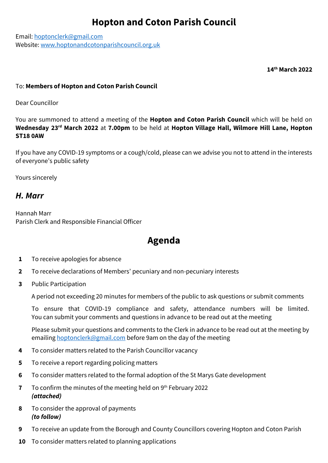Email: [hoptonclerk@gmail.com](mailto:hoptonclerk@gmail.com) Website: [www.hoptonandcotonparishcouncil.org.uk](http://www.hoptonandcotonparishcouncil.org.uk/)

**14th March 2022**

## To: **Members of Hopton and Coton Parish Council**

Dear Councillor

You are summoned to attend a meeting of the **Hopton and Coton Parish Council** which will be held on **Wednesday 23rd March 2022** at **7.00pm** to be held at **Hopton Village Hall, Wilmore Hill Lane, Hopton ST18 0AW**

If you have any COVID-19 symptoms or a cough/cold, please can we advise you not to attend in the interests of everyone's public safety

Yours sincerely

## *H. Marr*

Hannah Marr Parish Clerk and Responsible Financial Officer

# **Agenda**

- **1** To receive apologies for absence
- **2** To receive declarations of Members' pecuniary and non-pecuniary interests
- **3** Public Participation

A period not exceeding 20 minutes for members of the public to ask questions or submit comments

To ensure that COVID-19 compliance and safety, attendance numbers will be limited. You can submit your comments and questions in advance to be read out at the meeting

Please submit your questions and comments to the Clerk in advance to be read out at the meeting by emailing [hoptonclerk@gmail.com](mailto:hoptonclerk@gmail.com) before 9am on the day of the meeting

- **4** To consider matters related to the Parish Councillor vacancy
- **5** To receive a report regarding policing matters
- **6** To consider matters related to the formal adoption of the St Marys Gate development
- **7** To confirm the minutes of the meeting held on 9<sup>th</sup> February 2022 *(attached)*
- **8** To consider the approval of payments *(to follow)*
- **9** To receive an update from the Borough and County Councillors covering Hopton and Coton Parish
- **10** To consider matters related to planning applications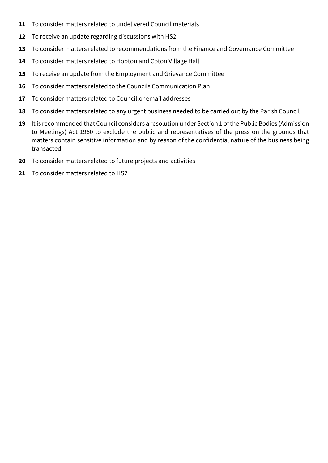- To consider matters related to undelivered Council materials
- To receive an update regarding discussions with HS2
- To consider matters related to recommendations from the Finance and Governance Committee
- To consider matters related to Hopton and Coton Village Hall
- To receive an update from the Employment and Grievance Committee
- To consider matters related to the Councils Communication Plan
- To consider matters related to Councillor email addresses
- To consider matters related to any urgent business needed to be carried out by the Parish Council
- It is recommended that Council considers a resolution under Section 1 of the Public Bodies (Admission to Meetings) Act 1960 to exclude the public and representatives of the press on the grounds that matters contain sensitive information and by reason of the confidential nature of the business being transacted
- To consider matters related to future projects and activities
- To consider matters related to HS2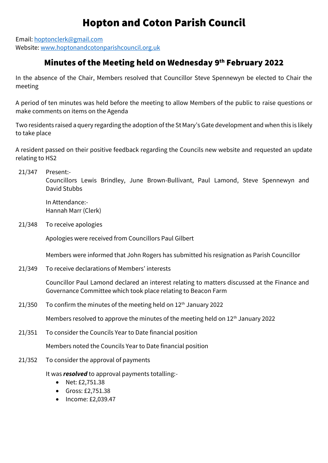Email: [hoptonclerk@gmail.com](mailto:hoptonclerk@gmail.com) Website[: www.hoptonandcotonparishcouncil.org.uk](http://www.hoptonand/)

## Minutes of the Meeting held on Wednesday 9th February 2022

In the absence of the Chair, Members resolved that Councillor Steve Spennewyn be elected to Chair the meeting

A period of ten minutes was held before the meeting to allow Members of the public to raise questions or make comments on items on the Agenda

Two residents raised a query regarding the adoption of the St Mary's Gate development and when this is likely to take place

A resident passed on their positive feedback regarding the Councils new website and requested an update relating to HS2

21/347 Present:-

Councillors Lewis Brindley, June Brown-Bullivant, Paul Lamond, Steve Spennewyn and David Stubbs

In Attendance:- Hannah Marr (Clerk)

21/348 To receive apologies

Apologies were received from Councillors Paul Gilbert

Members were informed that John Rogers has submitted his resignation as Parish Councillor

21/349 To receive declarations of Members' interests

Councillor Paul Lamond declared an interest relating to matters discussed at the Finance and Governance Committee which took place relating to Beacon Farm

21/350 To confirm the minutes of the meeting held on  $12<sup>th</sup>$  January 2022

Members resolved to approve the minutes of the meeting held on 12<sup>th</sup> January 2022

21/351 To consider the Councils Year to Date financial position

Members noted the Councils Year to Date financial position

21/352 To consider the approval of payments

It was *resolved* to approval payments totalling:-

- Net: £2,751.38
- Gross: £2,751.38
- Income: £2,039.47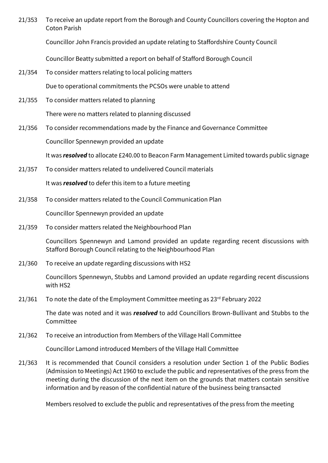21/353 To receive an update report from the Borough and County Councillors covering the Hopton and Coton Parish

Councillor John Francis provided an update relating to Staffordshire County Council

Councillor Beatty submitted a report on behalf of Stafford Borough Council

21/354 To consider matters relating to local policing matters

Due to operational commitments the PCSOs were unable to attend

- 21/355 To consider matters related to planning There were no matters related to planning discussed
- 21/356 To consider recommendations made by the Finance and Governance Committee Councillor Spennewyn provided an update

It was *resolved* to allocate £240.00 to Beacon Farm Management Limited towards public signage

21/357 To consider matters related to undelivered Council materials

It was *resolved* to defer this item to a future meeting

21/358 To consider matters related to the Council Communication Plan

Councillor Spennewyn provided an update

21/359 To consider matters related the Neighbourhood Plan

Councillors Spennewyn and Lamond provided an update regarding recent discussions with Stafford Borough Council relating to the Neighbourhood Plan

21/360 To receive an update regarding discussions with HS2

Councillors Spennewyn, Stubbs and Lamond provided an update regarding recent discussions with HS2

21/361 To note the date of the Employment Committee meeting as  $23<sup>rd</sup>$  February 2022

The date was noted and it was *resolved* to add Councillors Brown-Bullivant and Stubbs to the Committee

21/362 To receive an introduction from Members of the Village Hall Committee

Councillor Lamond introduced Members of the Village Hall Committee

21/363 It is recommended that Council considers a resolution under Section 1 of the Public Bodies (Admission to Meetings) Act 1960 to exclude the public and representatives of the press from the meeting during the discussion of the next item on the grounds that matters contain sensitive information and by reason of the confidential nature of the business being transacted

Members resolved to exclude the public and representatives of the press from the meeting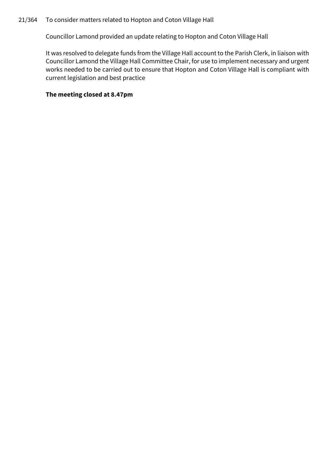## 21/364 To consider matters related to Hopton and Coton Village Hall

Councillor Lamond provided an update relating to Hopton and Coton Village Hall

It was resolved to delegate funds from the Village Hall account to the Parish Clerk, in liaison with Councillor Lamond the Village Hall Committee Chair, for use to implement necessary and urgent works needed to be carried out to ensure that Hopton and Coton Village Hall is compliant with current legislation and best practice

## **The meeting closed at 8.47pm**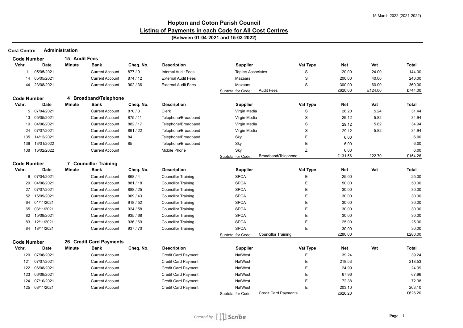#### **Hopton and Coton Parish Council Listing of Payments in each Code for All Cost Centres (Between 01-04-2021 and 15-03-2022)**

**Cost Centre Administration**

| <b>Code Number</b> |              | 15 Audit Fees |                         |           |                            |                           |                             |             |            |         |              |
|--------------------|--------------|---------------|-------------------------|-----------|----------------------------|---------------------------|-----------------------------|-------------|------------|---------|--------------|
| Vchr.              | Date         | <b>Minute</b> | Bank                    | Cheq. No. | <b>Description</b>         | <b>Supplier</b>           |                             | Vat Type    | <b>Net</b> | Vat     | <b>Total</b> |
| 11                 | 05/05/2021   |               | <b>Current Account</b>  | 877/9     | <b>Internal Audit Fees</b> | <b>Topliss Associates</b> |                             | S           | 120.00     | 24.00   | 144.00       |
| 14                 | 05/05/2021   |               | <b>Current Account</b>  | 874 / 12  | <b>External Audit Fees</b> | Mazaars                   |                             | S           | 200.00     | 40.00   | 240.00       |
| 44                 | 23/08/2021   |               | <b>Current Account</b>  | 902 / 36  | <b>External Audit Fees</b> | Mazaars                   |                             | S           | 300.00     | 60.00   | 360.00       |
|                    |              |               |                         |           |                            | Subtotal for Code:        | <b>Audit Fees</b>           |             | £620.00    | £124.00 | £744.00      |
| <b>Code Number</b> |              |               | 4 Broadband/Telephone   |           |                            |                           |                             |             |            |         |              |
| Vchr.              | Date         | Minute        | Bank                    | Cheq. No. | <b>Description</b>         | <b>Supplier</b>           |                             | Vat Type    | <b>Net</b> | Vat     | <b>Total</b> |
| 5                  | 07/04/2021   |               | <b>Current Account</b>  | 870/3     | Clerk                      | Virgin Media              |                             | S           | 26.20      | 5.24    | 31.44        |
| 13                 | 05/05/2021   |               | <b>Current Account</b>  | 875 / 11  | Telephone/Broadband        | Virgin Media              |                             | S           | 29.12      | 5.82    | 34.94        |
| 19                 | 04/06/2021   |               | <b>Current Account</b>  | 882 / 17  | Telephone/Broadband        | Virgin Media              |                             | S           | 29.12      | 5.82    | 34.94        |
| 24                 | 07/07/2021   |               | <b>Current Account</b>  | 891 / 22  | Telephone/Broadband        | Virgin Media              |                             | S           | 29.12      | 5.82    | 34.94        |
| 135                | 14/12/2021   |               | <b>Current Account</b>  | 84        | Telephone/Broadband        | Sky                       |                             | Е           | 6.00       |         | 6.00         |
| 136                | 13/01/2022   |               | <b>Current Account</b>  | 85        | Telephone/Broadband        | Sky                       |                             | Ε           | 6.00       |         | 6.00         |
| 138                | 16/02/2022   |               | <b>Current Account</b>  |           | Mobile Phone               | Sky                       |                             | Z           | 6.00       |         | 6.00         |
|                    |              |               |                         |           |                            | Subtotal for Code:        | Broadband/Telephone         |             | £131.56    | £22.70  | £154.26      |
| <b>Code Number</b> |              |               | 7 Councillor Training   |           |                            |                           |                             |             |            |         |              |
| Vchr.              | Date         | <b>Minute</b> | <b>Bank</b>             | Cheq. No. | <b>Description</b>         | <b>Supplier</b>           |                             | Vat Type    | Net        | Vat     | <b>Total</b> |
|                    | 6 07/04/2021 |               | <b>Current Account</b>  | 868 / 4   | <b>Councillor Training</b> | <b>SPCA</b>               |                             | E           | 25.00      |         | 25.00        |
| 20                 | 04/06/2021   |               | <b>Current Account</b>  | 881 / 18  | <b>Councillor Training</b> | <b>SPCA</b>               |                             | E           | 50.00      |         | 50.00        |
| 27                 | 07/07/2021   |               | <b>Current Account</b>  | 888 / 25  | <b>Councillor Training</b> | <b>SPCA</b>               |                             | E           | 30.00      |         | 30.00        |
| 52                 | 16/09/2021   |               | <b>Current Account</b>  | 909/43    | <b>Councillor Training</b> | <b>SPCA</b>               |                             | Е           | 30.00      |         | 30.00        |
| 64                 | 01/11/2021   |               | <b>Current Account</b>  | 918/52    | <b>Councillor Training</b> | <b>SPCA</b>               |                             | Е           | 30.00      |         | 30.00        |
| 65                 | 03/11/2021   |               | <b>Current Account</b>  | 924/58    | <b>Councillor Training</b> | <b>SPCA</b>               |                             | Ε           | 30.00      |         | 30.00        |
| 82                 | 15/09/2021   |               | <b>Current Account</b>  | 935/68    | <b>Councillor Training</b> | <b>SPCA</b>               |                             | $\mathsf E$ | 30.00      |         | 30.00        |
| 83                 | 12/11/2021   |               | <b>Current Account</b>  | 936 / 69  | <b>Councillor Training</b> | <b>SPCA</b>               |                             | Ε           | 25.00      |         | 25.00        |
| 84                 | 18/11/2021   |               | <b>Current Account</b>  | 937 / 70  | <b>Councillor Training</b> | <b>SPCA</b>               |                             | Е           | 30.00      |         | 30.00        |
|                    |              |               |                         |           |                            | Subtotal for Code:        | <b>Councillor Training</b>  |             | £280.00    |         | £280.00      |
| <b>Code Number</b> |              |               | 26 Credit Card Payments |           |                            |                           |                             |             |            |         |              |
| Vchr.              | <b>Date</b>  | Minute        | Bank                    | Cheq. No. | <b>Description</b>         | <b>Supplier</b>           |                             | Vat Type    | <b>Net</b> | Vat     | <b>Total</b> |
| 120                | 07/06/2021   |               | <b>Current Account</b>  |           | <b>Credit Card Payment</b> | <b>NatWest</b>            |                             | Е           | 39.24      |         | 39.24        |
| 121                | 07/07/2021   |               | <b>Current Account</b>  |           | <b>Credit Card Payment</b> | NatWest                   |                             | Е           | 218.53     |         | 218.53       |
| 122                | 06/08/2021   |               | <b>Current Account</b>  |           | <b>Credit Card Payment</b> | NatWest                   |                             | Е           | 24.99      |         | 24.99        |
| 123                | 06/09/2021   |               | <b>Current Account</b>  |           | <b>Credit Card Payment</b> | NatWest                   |                             | Ε           | 67.96      |         | 67.96        |
| 124                | 07/10/2021   |               | <b>Current Account</b>  |           | <b>Credit Card Payment</b> | NatWest                   |                             | Ε           | 72.38      |         | 72.38        |
| 125                | 08/11/2021   |               | <b>Current Account</b>  |           | <b>Credit Card Payment</b> | NatWest                   |                             | Е           | 203.10     |         | 203.10       |
|                    |              |               |                         |           |                            | Subtotal for Code:        | <b>Credit Card Payments</b> |             | £626.20    |         | £626.20      |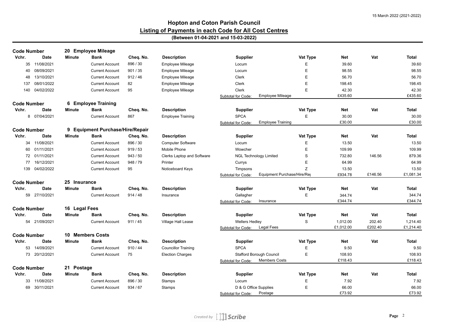| <b>Code Number</b> |               |               | 20 Employee Mileage              |           |                            |                       |                                 |          |            |         |              |
|--------------------|---------------|---------------|----------------------------------|-----------|----------------------------|-----------------------|---------------------------------|----------|------------|---------|--------------|
| Vchr.              | <b>Date</b>   | <b>Minute</b> | Bank                             | Cheq. No. | <b>Description</b>         | <b>Supplier</b>       |                                 | Vat Type | Net        | Vat     | <b>Total</b> |
| 35                 | 11/08/2021    |               | <b>Current Account</b>           | 896 / 30  | <b>Employee Mileage</b>    | Locum                 |                                 | Е        | 39.60      |         | 39.60        |
| 40                 | 08/09/2021    |               | <b>Current Account</b>           | 901 / 35  | Employee Mileage           | Locum                 |                                 | E        | 98.55      |         | 98.55        |
| 48                 | 13/10/2021    |               | <b>Current Account</b>           | 912/46    | Employee Mileage           | Clerk                 |                                 | E        | 56.70      |         | 56.70        |
| 137                | 08/01/2022    |               | <b>Current Account</b>           | 82        | <b>Employee Mileage</b>    | Clerk                 |                                 | E        | 198.45     |         | 198.45       |
| 140                | 04/02/2022    |               | <b>Current Account</b>           | 95        | <b>Employee Mileage</b>    | Clerk                 |                                 | E        | 42.30      |         | 42.30        |
|                    |               |               |                                  |           |                            | Subtotal for Code:    | <b>Employee Mileage</b>         |          | £435.60    |         | £435.60      |
| <b>Code Number</b> |               |               | 6 Employee Training              |           |                            |                       |                                 |          |            |         |              |
| Vchr.              | Date          | Minute        | Bank                             | Cheq. No. | <b>Description</b>         | <b>Supplier</b>       |                                 | Vat Type | Net        | Vat     | Total        |
| 8                  | 07/04/2021    |               | <b>Current Account</b>           | 867       | <b>Employee Training</b>   | <b>SPCA</b>           |                                 | E        | 30.00      |         | 30.00        |
|                    |               |               |                                  |           |                            | Subtotal for Code:    | <b>Employee Training</b>        |          | £30.00     |         | £30.00       |
| <b>Code Number</b> |               |               | 9 Equipment Purchase/Hire/Repair |           |                            |                       |                                 |          |            |         |              |
| Vchr.              | Date          | Minute        | Bank                             | Cheq. No. | <b>Description</b>         | Supplier              |                                 | Vat Type | Net        | Vat     | Total        |
| 34                 | 11/08/2021    |               | <b>Current Account</b>           | 896 / 30  | <b>Computer Software</b>   | Locum                 |                                 | E        | 13.50      |         | 13.50        |
| 60                 | 01/11/2021    |               | <b>Current Account</b>           | 919/53    | Mobile Phone               | Wowcher               |                                 | E        | 109.99     |         | 109.99       |
| 72                 | 01/11/2021    |               | <b>Current Account</b>           | 943/50    | Clerks Laptop and Software |                       | <b>NGL Technology Limited</b>   | S        | 732.80     | 146.56  | 879.36       |
| 77                 | 16/12/2021    |               | <b>Current Account</b>           | 948 / 79  | Printer                    | Currys                |                                 | Е        | 64.99      |         | 64.99        |
| 139                | 04/02/2022    |               | <b>Current Account</b>           | 95        | Noticeboard Keys           | Timpsons              |                                 | Ζ        | 13.50      |         | 13.50        |
|                    |               |               |                                  |           |                            | Subtotal for Code:    | Equipment Purchase/Hire/Rep     |          | £934.78    | £146.56 | £1,081.34    |
| <b>Code Number</b> |               | 25 Insurance  |                                  |           |                            |                       |                                 |          |            |         |              |
| Vchr.              | Date          | Minute        | Bank                             | Cheq. No. | <b>Description</b>         | <b>Supplier</b>       |                                 | Vat Type | Net        | Vat     | <b>Total</b> |
| 59                 | 27/10/2021    |               | <b>Current Account</b>           | 914/48    | Insurance                  | Gallagher             |                                 | E        | 344.74     |         | 344.74       |
|                    |               |               |                                  |           |                            | Subtotal for Code:    | Insurance                       |          | £344.74    |         | £344.74      |
| <b>Code Number</b> |               | 16 Legal Fees |                                  |           |                            |                       |                                 |          |            |         |              |
| Vchr.              | Date          | Minute        | Bank                             | Cheq. No. | <b>Description</b>         | <b>Supplier</b>       |                                 | Vat Type | <b>Net</b> | Vat     | <b>Total</b> |
|                    | 54 21/09/2021 |               | <b>Current Account</b>           | 911/45    | Village Hall Lease         | <b>Wellers Hedley</b> |                                 | S        | 1,012.00   | 202.40  | 1,214.40     |
|                    |               |               |                                  |           |                            | Subtotal for Code:    | Legal Fees                      |          | £1,012.00  | £202.40 | £1,214.40    |
| <b>Code Number</b> |               |               | 10 Members Costs                 |           |                            |                       |                                 |          |            |         |              |
| Vchr.              | <b>Date</b>   | Minute        | <b>Bank</b>                      | Cheq. No. | <b>Description</b>         | <b>Supplier</b>       |                                 | Vat Type | Net        | Vat     | <b>Total</b> |
| 53                 | 14/09/2021    |               | <b>Current Account</b>           | 910/44    | <b>Councillor Training</b> | <b>SPCA</b>           |                                 | E        | 9.50       |         | 9.50         |
|                    | 73 20/12/2021 |               | <b>Current Account</b>           | 75        | <b>Election Charges</b>    |                       | <b>Stafford Borough Council</b> | E        | 108.93     |         | 108.93       |
|                    |               |               |                                  |           |                            | Subtotal for Code:    | <b>Members Costs</b>            |          | £118.43    |         | £118.43      |
| <b>Code Number</b> |               | 21 Postage    |                                  |           |                            |                       |                                 |          |            |         |              |
| Vchr.              | <b>Date</b>   | Minute        | Bank                             | Cheq. No. | <b>Description</b>         | <b>Supplier</b>       |                                 | Vat Type | <b>Net</b> | Vat     | <b>Total</b> |
|                    | 33 11/08/2021 |               | <b>Current Account</b>           | 896 / 30  | Stamps                     | Locum                 |                                 | E        | 7.92       |         | 7.92         |
| 69                 | 30/11/2021    |               | <b>Current Account</b>           | 934 / 67  | Stamps                     | D & G Office Supplies |                                 | E        | 66.00      |         | 66.00        |
|                    |               |               |                                  |           |                            | Subtotal for Code:    | Postage                         |          | £73.92     |         | £73.92       |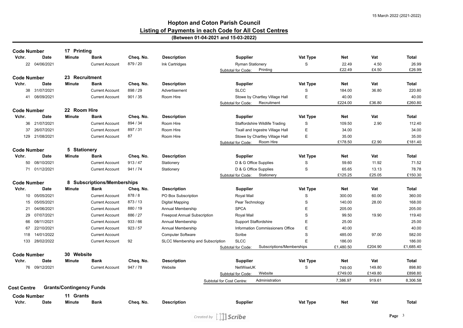#### **Hopton and Coton Parish Council Listing of Payments in each Code for All Cost Centres (Between 01-04-2021 and 15-03-2022)**

| <b>Code Number</b> |                | 17 Printing                     |                             |           |                                     |                              |                                       |             |            |         |              |
|--------------------|----------------|---------------------------------|-----------------------------|-----------|-------------------------------------|------------------------------|---------------------------------------|-------------|------------|---------|--------------|
| Vchr.              | <b>Date</b>    | <b>Minute</b>                   | <b>Bank</b>                 | Cheq. No. | <b>Description</b>                  | <b>Supplier</b>              |                                       | Vat Type    | <b>Net</b> | Vat     | <b>Total</b> |
|                    | 22 04/06/2021  |                                 | <b>Current Account</b>      | 879 / 20  | Ink Cartridges                      | <b>Ryman Stationery</b>      |                                       | S           | 22.49      | 4.50    | 26.99        |
|                    |                |                                 |                             |           |                                     | Subtotal for Code:           | Printing                              |             | £22.49     | £4.50   | £26.99       |
| <b>Code Number</b> |                | 23 Recruitment                  |                             |           |                                     |                              |                                       |             |            |         |              |
| Vchr.              | <b>Date</b>    | <b>Minute</b>                   | <b>Bank</b>                 | Cheq. No. | <b>Description</b>                  | <b>Supplier</b>              |                                       | Vat Type    | <b>Net</b> | Vat     | <b>Total</b> |
|                    | 38 31/07/2021  |                                 | <b>Current Account</b>      | 898 / 29  | Advertisement                       | <b>SLCC</b>                  |                                       | S           | 184.00     | 36.80   | 220.80       |
| 41                 | 08/09/2021     |                                 | <b>Current Account</b>      | 901 / 35  | Room Hire                           |                              | Stowe by Chartley Village Hall        | E           | 40.00      |         | 40.00        |
|                    |                |                                 |                             |           |                                     | Subtotal for Code:           | Recruitment                           |             | £224.00    | £36.80  | £260.80      |
| <b>Code Number</b> |                | 22 Room Hire                    |                             |           |                                     |                              |                                       |             |            |         |              |
| Vchr.              | Date           | Minute                          | <b>Bank</b>                 | Cheq. No. | <b>Description</b>                  | <b>Supplier</b>              |                                       | Vat Type    | Net        | Vat     | Total        |
| 36                 | 21/07/2021     |                                 | <b>Current Account</b>      | 894 / 34  | Room Hire                           |                              | <b>Staffordshire Wildlife Trading</b> | S           | 109.50     | 2.90    | 112.40       |
| 37                 | 26/07/2021     |                                 | <b>Current Account</b>      | 897 / 31  | Room Hire                           |                              | Tixall and Ingestre Village Hall      | E           | 34.00      |         | 34.00        |
|                    | 129 21/08/2021 |                                 | <b>Current Account</b>      | 87        | Room Hire                           |                              | Stowe by Chartley Village Hall        | E           | 35.00      |         | 35.00        |
|                    |                |                                 |                             |           |                                     | Subtotal for Code:           | Room Hire                             |             | £178.50    | £2.90   | £181.40      |
| <b>Code Number</b> |                | 5 Stationery                    |                             |           |                                     |                              |                                       |             |            |         |              |
| Vchr.              | <b>Date</b>    | <b>Minute</b>                   | <b>Bank</b>                 | Cheq. No. | <b>Description</b>                  | <b>Supplier</b>              |                                       | Vat Type    | <b>Net</b> | Vat     | <b>Total</b> |
| 50                 | 08/10/2021     |                                 | <b>Current Account</b>      | 913/47    | Stationery                          | D & G Office Supplies        |                                       | S           | 59.60      | 11.92   | 71.52        |
|                    | 71 01/12/2021  |                                 | <b>Current Account</b>      | 941/74    | Stationery                          | D & G Office Supplies        |                                       | S           | 65.65      | 13.13   | 78.78        |
|                    |                |                                 |                             |           |                                     | Subtotal for Code:           | Stationery                            |             | £125.25    | £25.05  | £150.30      |
| <b>Code Number</b> |                |                                 | 8 Subscriptions/Memberships |           |                                     |                              |                                       |             |            |         |              |
| Vchr.              | Date           | Minute                          | <b>Bank</b>                 | Cheq. No. | <b>Description</b>                  | <b>Supplier</b>              |                                       | Vat Type    | <b>Net</b> | Vat     | <b>Total</b> |
|                    | 10 05/05/2021  |                                 | <b>Current Account</b>      | 878/8     | PO Box Subscription                 | Royal Mail                   |                                       | S           | 300.00     | 60.00   | 360.00       |
| 15                 | 05/05/2021     |                                 | <b>Current Account</b>      | 873 / 13  | Digital Mapping                     | Pear Technology              |                                       | S           | 140.00     | 28.00   | 168.00       |
| 21                 | 04/06/2021     |                                 | <b>Current Account</b>      | 880 / 19  | <b>Annual Membership</b>            | <b>SPCA</b>                  |                                       | E           | 205.00     |         | 205.00       |
| 29                 | 07/07/2021     |                                 | <b>Current Account</b>      | 886 / 27  | <b>Freepost Annual Subscription</b> | Royal Mail                   |                                       | $\mathsf S$ | 99.50      | 19.90   | 119.40       |
| 66                 | 08/11/2021     |                                 | <b>Current Account</b>      | 933/66    | Annual Membership                   | <b>Support Staffordshire</b> |                                       | Ε           | 25.00      |         | 25.00        |
| 67                 | 22/10/2021     |                                 | <b>Current Account</b>      | 923/57    | Annual Membership                   |                              | Information Commissioners Office      | Ε           | 40.00      |         | 40.00        |
| 118                | 14/01/2022     |                                 | <b>Current Account</b>      |           | <b>Computer Software</b>            | Scribe                       |                                       | S           | 485.00     | 97.00   | 582.00       |
| 133                | 28/02/2022     |                                 | <b>Current Account</b>      | 92        | SLCC Membership and Subscription    | <b>SLCC</b>                  |                                       | E           | 186.00     |         | 186.00       |
|                    |                |                                 |                             |           |                                     | Subtotal for Code:           | Subscriptions/Memberships             |             | £1,480.50  | £204.90 | £1,685.40    |
| <b>Code Number</b> |                | 30 Website                      |                             |           |                                     |                              |                                       |             |            |         |              |
| Vchr.              | Date           | Minute                          | Bank                        | Cheq. No. | <b>Description</b>                  | <b>Supplier</b>              |                                       | Vat Type    | Net        | Vat     | Total        |
|                    | 76 09/12/2021  |                                 | <b>Current Account</b>      | 947 / 78  | Website                             | NetWiseUK                    |                                       | S           | 749.00     | 149.80  | 898.80       |
|                    |                |                                 |                             |           |                                     | Subtotal for Code:           | Website                               |             | £749.00    | £149.80 | £898.80      |
|                    |                |                                 |                             |           |                                     | Subtotal for Cost Centre:    | Administration                        |             | 7.386.97   | 919.61  | 8,306.58     |
| <b>Cost Centre</b> |                | <b>Grants/Contingency Funds</b> |                             |           |                                     |                              |                                       |             |            |         |              |
| <b>Code Number</b> |                | 11 Grants                       |                             |           |                                     |                              |                                       |             |            |         |              |
| Vchr.              | <b>Date</b>    | <b>Minute</b>                   | <b>Bank</b>                 | Cheq. No. | <b>Description</b>                  | <b>Supplier</b>              |                                       | Vat Type    | <b>Net</b> | Vat     | <b>Total</b> |
|                    |                |                                 |                             |           |                                     |                              |                                       |             |            |         |              |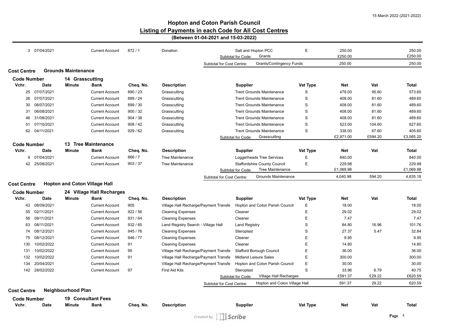|                    | 3 07/04/2021  |                            | <b>Current Account</b>               | 872/1     | Donation                              | Salt and Hopton PCC<br>Grants<br>Subtotal for Code: | Ε           | 250.00<br>£250.00 |         | 250.00<br>£250.00 |
|--------------------|---------------|----------------------------|--------------------------------------|-----------|---------------------------------------|-----------------------------------------------------|-------------|-------------------|---------|-------------------|
|                    |               |                            |                                      |           | Subtotal for Cost Centre:             | <b>Grants/Contingency Funds</b>                     |             | 250.00            |         | 250.00            |
| <b>Cost Centre</b> |               | <b>Grounds Maintenance</b> |                                      |           |                                       |                                                     |             |                   |         |                   |
| <b>Code Number</b> |               | 14 Grasscutting            |                                      |           |                                       |                                                     |             |                   |         |                   |
| Vchr.              | <b>Date</b>   | Minute                     | <b>Bank</b>                          | Cheq. No. | <b>Description</b>                    | <b>Supplier</b>                                     | Vat Type    | Net               | Vat     | Total             |
|                    | 25 07/07/2021 |                            | <b>Current Account</b>               | 890/23    | Grasscutting                          | <b>Trent Grounds Maintenance</b>                    | S           | 478.00            | 95.60   | 573.60            |
| 26                 | 07/07/2021    |                            | <b>Current Account</b>               | 889 / 24  | Grasscutting                          | <b>Trent Grounds Maintenance</b>                    | $\mathsf S$ | 408.00            | 81.60   | 489.60            |
| 30                 | 06/07/2021    |                            | <b>Current Account</b>               | 899 / 30  | Grasscutting                          | <b>Trent Grounds Maintenance</b>                    | S           | 408.00            | 81.60   | 489.60            |
| 31                 | 06/08/2021    |                            | <b>Current Account</b>               | 900 / 32  | Grasscutting                          | <b>Trent Grounds Maintenance</b>                    | S           | 408.00            | 81.60   | 489.60            |
| 46                 | 31/08/2021    |                            | <b>Current Account</b>               | 904 / 38  | Grasscutting                          | <b>Trent Grounds Maintenance</b>                    | $\mathsf S$ | 408.00            | 81.60   | 489.60            |
| 51                 | 07/10/2021    |                            | <b>Current Account</b>               | 908/42    | Grasscutting                          | <b>Trent Grounds Maintenance</b>                    | $\mathsf S$ | 523.00            | 104.60  | 627.60            |
| 62                 | 04/11/2021    |                            | <b>Current Account</b>               | 929/62    | Grasscutting                          | <b>Trent Grounds Maintenance</b>                    | S           | 338.00            | 67.60   | 405.60            |
|                    |               |                            |                                      |           |                                       | Subtotal for Code:<br>Grasscutting                  |             | £2,971.00         | £594.20 | £3,565.20         |
| <b>Code Number</b> |               |                            | 13 Tree Maintenance                  |           |                                       |                                                     |             |                   |         |                   |
| Vchr.              | Date          | <b>Minute</b>              | Bank                                 | Cheq. No. | <b>Description</b>                    | <b>Supplier</b>                                     | Vat Type    | Net               | Vat     | Total             |
|                    | 9 07/04/2021  |                            | <b>Current Account</b>               | 866 / 7   | <b>Tree Maintenance</b>               | Loggerheads Tree Services                           | Ε           | 840.00            |         | 840.00            |
| 42                 | 25/08/2021    |                            | <b>Current Account</b>               | 903/37    | <b>Tree Maintenance</b>               | <b>Staffordshire County Council</b>                 | E           | 229.98            |         | 229.98            |
|                    |               |                            |                                      |           |                                       | Tree Maintenance<br>Subtotal for Code:              |             | £1,069.98         |         | £1,069.98         |
|                    |               |                            |                                      |           | Subtotal for Cost Centre:             | <b>Grounds Maintenance</b>                          |             | 4,040.98          | 594.20  | 4,635.18          |
| <b>Cost Centre</b> |               |                            | <b>Hopton and Coton Village Hall</b> |           |                                       |                                                     |             |                   |         |                   |
| <b>Code Number</b> |               |                            | 24 Village Hall Recharges            |           |                                       |                                                     |             |                   |         |                   |
| Vchr.              | <b>Date</b>   | <b>Minute</b>              | <b>Bank</b>                          | Cheq. No. | <b>Description</b>                    | <b>Supplier</b>                                     | Vat Type    | <b>Net</b>        | Vat     | <b>Total</b>      |
|                    | 43 08/09/2021 |                            | <b>Current Account</b>               | 905       | Village Hall Recharge/Payment Transfe | Hopton and Coton Parish Council                     | Ε           | 18.00             |         | 18.00             |
| 55                 | 02/11/2021    |                            | <b>Current Account</b>               | 922/56    | <b>Cleaning Expenses</b>              | Cleaner                                             | Ε           | 29.02             |         | 29.02             |
| 56                 | 08/11/2021    |                            | <b>Current Account</b>               | 931/64    | <b>Cleaning Expenses</b>              | Cleaner                                             | Ε           | 7.47              |         | 7.47              |
| 63                 | 08/11/2021    |                            | <b>Current Account</b>               | 932/65    | Land Registry Search - Village Hall   | Land Registry                                       | S           | 84.80             | 16.96   | 101.76            |
| 74                 | 08/12/2021    |                            | <b>Current Account</b>               | 945 / 76  | <b>Cleaning Expenses</b>              | Steroplast                                          | S           | 27.37             | 5.47    | 32.84             |
| 75                 | 08/12/2021    |                            | <b>Current Account</b>               | 946 / 77  | <b>Cleaning Expenses</b>              | Cleaner                                             | Ε           | 9.95              |         | 9.95              |
| 130                | 10/02/2022    |                            | <b>Current Account</b>               | 91        | <b>Cleaning Expenses</b>              | Cleaner                                             | Ε           | 14.80             |         | 14.80             |
| 131                | 10/02/2022    |                            | <b>Current Account</b>               | 95        | Village Hall Recharge/Payment Transfe | <b>Stafford Borough Council</b>                     | Ε           | 36.00             |         | 36.00             |
| 132                | 10/02/2022    |                            | <b>Current Account</b>               | 91        | Village Hall Recharge/Payment Transfe | <b>Midland Leisure Sales</b>                        | Ε           | 300.00            |         | 300.00            |
| 134                | 20/04/2021    |                            | <b>Current Account</b>               |           | Village Hall Recharge/Payment Transfe | Hopton and Coton Parish Council                     | Ε           | 30.00             |         | 30.00             |
| 142                | 28/02/2022    |                            | <b>Current Account</b>               | 97        | <b>First Aid Kits</b>                 | Steroplast                                          | S           | 33.96             | 6.79    | 40.75             |
|                    |               |                            |                                      |           |                                       | Village Hall Recharges<br>Subtotal for Code:        |             | £591.37           | £29.22  | £620.59           |
|                    |               |                            |                                      |           | Subtotal for Cost Centre:             | Hopton and Coton Village Hall                       |             | 591.37            | 29.22   | 620.59            |
| <b>Cost Centre</b> |               | <b>Neighbourhood Plan</b>  |                                      |           |                                       |                                                     |             |                   |         |                   |
| <b>Code Number</b> |               |                            | <b>19 Consultant Fees</b>            |           |                                       |                                                     |             |                   |         |                   |
|                    |               |                            |                                      |           |                                       |                                                     |             |                   |         |                   |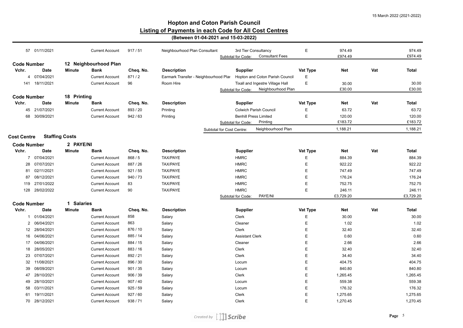|                             | 57 01/11/2021  |                       | <b>Current Account</b>               | 917/51    | Neighbourhood Plan Consultant         | Subtotal for Code:        | 3rd Tier Consultancy<br><b>Consultant Fees</b> | Ε           | 974.49<br>£974.49 |     | 974.49<br>£974.49 |
|-----------------------------|----------------|-----------------------|--------------------------------------|-----------|---------------------------------------|---------------------------|------------------------------------------------|-------------|-------------------|-----|-------------------|
|                             |                |                       |                                      |           |                                       |                           |                                                |             |                   |     |                   |
| <b>Code Number</b><br>Vchr. | Date           | <b>Minute</b>         | 12 Neighbourhood Plan<br><b>Bank</b> | Cheq. No. | <b>Description</b>                    | <b>Supplier</b>           |                                                | Vat Type    | <b>Net</b>        | Vat | <b>Total</b>      |
| $\overline{4}$              | 07/04/2021     |                       | <b>Current Account</b>               | 871/2     | Earmark Transfer - Neighbourhood Plar |                           | Hopton and Coton Parish Council                | Ε           |                   |     |                   |
|                             | 141 18/11/2021 |                       | <b>Current Account</b>               | 96        | Room Hire                             |                           | Tixall and Ingestre Village Hall               | $\mathsf E$ | 30.00             |     | 30.00             |
|                             |                |                       |                                      |           |                                       | Subtotal for Code:        | Neighbourhood Plan                             |             | £30.00            |     | £30.00            |
|                             |                | 18 Printing           |                                      |           |                                       |                           |                                                |             |                   |     |                   |
| <b>Code Number</b><br>Vchr. | Date           | Minute                | <b>Bank</b>                          | Cheq. No. | <b>Description</b>                    | <b>Supplier</b>           |                                                | Vat Type    | Net               | Vat | <b>Total</b>      |
|                             | 45 21/07/2021  |                       |                                      |           |                                       |                           |                                                |             |                   |     | 63.72             |
|                             |                |                       | <b>Current Account</b>               | 893 / 20  | Printing                              |                           | <b>Colwich Parish Council</b>                  | E           | 63.72             |     |                   |
| 68                          | 30/09/2021     |                       | <b>Current Account</b>               | 942 / 63  | Printing                              | Subtotal for Code:        | <b>Benhill Press Limited</b><br>Printing       | E           | 120.00<br>£183.72 |     | 120.00<br>£183.72 |
|                             |                |                       |                                      |           |                                       |                           | Neighbourhood Plan                             |             | 1,188.21          |     | 1,188.21          |
|                             |                |                       |                                      |           |                                       | Subtotal for Cost Centre: |                                                |             |                   |     |                   |
| <b>Cost Centre</b>          |                | <b>Staffing Costs</b> |                                      |           |                                       |                           |                                                |             |                   |     |                   |
| <b>Code Number</b>          |                | 2 PAYE/NI             |                                      |           |                                       |                           |                                                |             |                   |     |                   |
| Vchr.                       | Date           | <b>Minute</b>         | <b>Bank</b>                          | Cheq. No. | <b>Description</b>                    | <b>Supplier</b>           |                                                | Vat Type    | <b>Net</b>        | Vat | <b>Total</b>      |
| $\overline{7}$              | 07/04/2021     |                       | <b>Current Account</b>               | 868 / 5   | TAX/PAYE                              | <b>HMRC</b>               |                                                | Ε           | 884.39            |     | 884.39            |
| 28                          | 07/07/2021     |                       | <b>Current Account</b>               | 887 / 26  | TAX/PAYE                              | <b>HMRC</b>               |                                                | $\mathsf E$ | 922.22            |     | 922.22            |
| 81                          | 02/11/2021     |                       | <b>Current Account</b>               | 921 / 55  | TAX/PAYE                              | <b>HMRC</b>               |                                                | $\mathsf E$ | 747.49            |     | 747.49            |
| 87                          | 08/12/2021     |                       | <b>Current Account</b>               | 940 / 73  | TAX/PAYE                              | <b>HMRC</b>               |                                                | E           | 176.24            |     | 176.24            |
| 119                         | 27/01/2022     |                       | <b>Current Account</b>               | 83        | TAX/PAYE                              | <b>HMRC</b>               |                                                | E           | 752.75            |     | 752.75            |
|                             | 128 28/02/2022 |                       | <b>Current Account</b>               | 90        | TAX/PAYE                              | <b>HMRC</b>               |                                                | $\mathsf E$ | 246.11            |     | 246.11            |
|                             |                |                       |                                      |           |                                       | Subtotal for Code:        | PAYE/NI                                        |             | £3,729.20         |     | £3,729.20         |
| <b>Code Number</b>          |                | 1 Salaries            |                                      |           |                                       |                           |                                                |             |                   |     |                   |
| Vchr.                       | <b>Date</b>    | <b>Minute</b>         | <b>Bank</b>                          | Cheq. No. | <b>Description</b>                    | Supplier                  |                                                | Vat Type    | <b>Net</b>        | Vat | <b>Total</b>      |
| $\mathbf{1}$                | 01/04/2021     |                       | <b>Current Account</b>               | 858       | Salary                                | Clerk                     |                                                | E           | 30.00             |     | 30.00             |
| 2                           | 06/04/2021     |                       | <b>Current Account</b>               | 863       | Salary                                | Cleaner                   |                                                | Е           | 1.02              |     | 1.02              |
| 12 <sup>2</sup>             | 28/04/2021     |                       | <b>Current Account</b>               | 876 / 10  | Salary                                | Clerk                     |                                                | $\mathsf E$ | 32.40             |     | 32.40             |
| 16                          | 04/06/2021     |                       | <b>Current Account</b>               | 885 / 14  | Salary                                | <b>Assistant Clerk</b>    |                                                | E           | 0.60              |     | 0.60              |
| 17                          | 04/06/2021     |                       | <b>Current Account</b>               | 884 / 15  | Salary                                | Cleaner                   |                                                | E           | 2.66              |     | 2.66              |
| 18                          | 28/05/2021     |                       | <b>Current Account</b>               | 883 / 16  | Salary                                | Clerk                     |                                                | E           | 32.40             |     | 32.40             |
| 23                          | 07/07/2021     |                       | <b>Current Account</b>               | 892 / 21  | Salary                                | Clerk                     |                                                | E           | 34.40             |     | 34.40             |
| 32                          | 11/08/2021     |                       | <b>Current Account</b>               | 896 / 30  | Salary                                | Locum                     |                                                | $\mathsf E$ | 404.75            |     | 404.75            |
| 39                          | 08/09/2021     |                       | <b>Current Account</b>               | 901 / 35  | Salary                                | Locum                     |                                                | E           | 840.80            |     | 840.80            |
| 47                          | 28/10/2021     |                       | <b>Current Account</b>               | 906 / 39  | Salary                                | Clerk                     |                                                | E           | 1,265.45          |     | 1,265.45          |
| 49                          | 28/10/2021     |                       | <b>Current Account</b>               | 907 / 40  | Salary                                | Locum                     |                                                | E           | 559.38            |     | 559.38            |
| 58                          | 03/11/2021     |                       | <b>Current Account</b>               | 925 / 59  | Salary                                | Locum                     |                                                | $\mathsf E$ | 176.32            |     | 176.32            |
| 61                          | 19/11/2021     |                       | <b>Current Account</b>               | 927/60    | Salary                                | Clerk                     |                                                | E           | 1,275.65          |     | 1,275.65          |
|                             | 70 28/12/2021  |                       | <b>Current Account</b>               | 938 / 71  | Salary                                | Clerk                     |                                                | E           | 1,270.45          |     | 1,270.45          |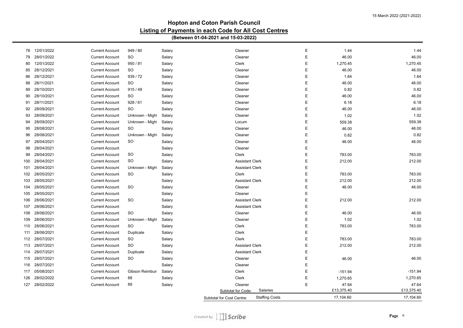| 78  | 12/01/2022 | <b>Current Account</b> | 949 / 80        | Salary                    | Cleaner                        | E | 1.44       | 1.44       |
|-----|------------|------------------------|-----------------|---------------------------|--------------------------------|---|------------|------------|
| 79  | 28/01/2022 | <b>Current Account</b> | <b>SO</b>       | Salary                    | Cleaner                        | E | 46.00      | 46.00      |
| 80  | 12/01/2022 | <b>Current Account</b> | 950 / 81        | Salary                    | Clerk                          | E | 1,270.45   | 1,270.45   |
| 85  | 28/12/2021 | <b>Current Account</b> | <b>SO</b>       | Salary                    | Cleaner                        | E | 46.00      | 46.00      |
| 86  | 28/12/2021 | <b>Current Account</b> | 939 / 72        | Salary                    | Cleaner                        | E | 1.64       | 1.64       |
| 88  | 28/11/2021 | <b>Current Account</b> | <b>SO</b>       | Salary                    | Cleaner                        | E | 46.00      | 46.00      |
| 89  | 28/10/2021 | <b>Current Account</b> | 915/49          | Salary                    | Cleaner                        | E | 0.82       | 0.82       |
| 90  | 28/10/2021 | <b>Current Account</b> | SO              | Salary                    | Cleaner                        | E | 46.00      | 46.00      |
| 91  | 28/11/2021 | <b>Current Account</b> | 928/61          | Salary                    | Cleaner                        | E | 6.18       | 6.18       |
| 92  | 28/09/2021 | <b>Current Account</b> | SO.             | Salary                    | Cleaner                        | E | 46.00      | 46.00      |
| 93  | 28/09/2021 | <b>Current Account</b> | Unknown - Might | Salary                    | Cleaner                        | E | 1.02       | 1.02       |
| 94  | 28/09/2021 | <b>Current Account</b> | Unknown - Might | Salary                    | Locum                          | Е | 559.38     | 559.38     |
| 95  | 28/08/2021 | <b>Current Account</b> | SO              | Salary                    | Cleaner                        | E | 46.00      | 46.00      |
| 96  | 28/08/2021 | <b>Current Account</b> | Unknown - Might | Salary                    | Cleaner                        | E | 0.82       | 0.82       |
| 97  | 28/04/2021 | <b>Current Account</b> | <b>SO</b>       | Salary                    | Cleaner                        | E | 46.00      | 46.00      |
| 98  | 28/04/2021 | <b>Current Account</b> |                 | Salary                    | Cleaner                        | E |            |            |
| 99  | 28/04/2021 | <b>Current Account</b> | <b>SO</b>       | Salary                    | Clerk                          | E | 783.00     | 783.00     |
| 100 | 28/04/2021 | <b>Current Account</b> | <b>SO</b>       | Salary                    | <b>Assistant Clerk</b>         | Е | 212.00     | 212.00     |
| 101 | 28/04/2021 | <b>Current Account</b> | Unknown - Might | Salary                    | <b>Assistant Clerk</b>         | E |            |            |
| 102 | 28/05/2021 | <b>Current Account</b> | <b>SO</b>       | Salary                    | <b>Clerk</b>                   | E | 783.00     | 783.00     |
| 103 | 28/05/2021 | <b>Current Account</b> |                 | Salary                    | <b>Assistant Clerk</b>         | E | 212.00     | 212.00     |
| 104 | 28/05/2021 | <b>Current Account</b> | <b>SO</b>       | Salary                    | Cleaner                        | E | 46.00      | 46.00      |
| 105 | 28/05/2021 | <b>Current Account</b> |                 | Salary                    | Cleaner                        | E |            |            |
| 106 | 28/06/2021 | <b>Current Account</b> | <b>SO</b>       | Salary                    | <b>Assistant Clerk</b>         | E | 212.00     | 212.00     |
| 107 | 28/06/2021 | <b>Current Account</b> |                 | Salary                    | <b>Assistant Clerk</b>         | E |            |            |
| 108 | 28/06/2021 | <b>Current Account</b> | <b>SO</b>       | Salary                    | Cleaner                        | E | 46.00      | 46.00      |
| 109 | 28/06/2021 | <b>Current Account</b> | Unknown - Might | Salary                    | Cleaner                        | E | 1.02       | 1.02       |
| 110 | 28/06/2021 | <b>Current Account</b> | SO              | Salary                    | Clerk                          | E | 783.00     | 783.00     |
| 111 | 28/06/2021 | <b>Current Account</b> | Duplicate       | Salary                    | Clerk                          | E |            |            |
| 112 | 28/07/2021 | <b>Current Account</b> | <b>SO</b>       | Salary                    | Clerk                          | Ε | 783.00     | 783.00     |
| 113 | 28/07/2021 | <b>Current Account</b> | <b>SO</b>       | Salary                    | <b>Assistant Clerk</b>         | E | 212.00     | 212.00     |
| 114 | 28/07/2021 | <b>Current Account</b> | Duplicate       | Salary                    | <b>Assistant Clerk</b>         | E |            |            |
| 115 | 28/07/2021 | <b>Current Account</b> | <b>SO</b>       | Salary                    | Cleaner                        | E | 46.00      | 46.00      |
| 116 | 28/07/2021 | <b>Current Account</b> |                 | Salary                    | Cleaner                        | E |            |            |
| 117 | 05/08/2021 | <b>Current Account</b> | Gibson Reimbur: | Salary                    | Clerk                          | E | $-151.94$  | $-151.94$  |
| 126 | 28/02/2022 | <b>Current Account</b> | 88              | Salary                    | Clerk                          | E | 1,270.65   | 1,270.65   |
| 127 | 28/02/2022 | <b>Current Account</b> | 89              | Salary                    | Cleaner                        | E | 47.64      | 47.64      |
|     |            |                        |                 |                           | Salaries<br>Subtotal for Code: |   | £13,375.40 | £13,375.40 |
|     |            |                        |                 | Subtotal for Cost Centre: | <b>Staffing Costs</b>          |   | 17,104.60  | 17,104.60  |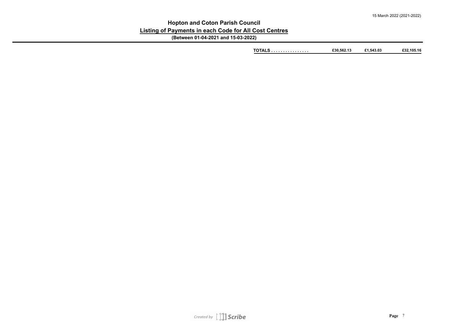#### **Hopton and Coton Parish Council Listing of Payments in each Code for All Cost Centres (Between 01-04-2021 and 15-03-2022)**

**TOTALS . . . . . . . . . . . . . . . . £30,562.13 £1,543.03 £32,105.16**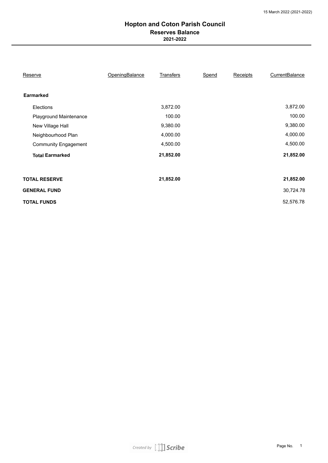#### **Hopton and Coton Parish Council 2021-2022 Reserves Balance**

| Reserve                     | OpeningBalance | <b>Transfers</b> | <b>Spend</b> | <b>Receipts</b> | <b>CurrentBalance</b> |
|-----------------------------|----------------|------------------|--------------|-----------------|-----------------------|
| <b>Earmarked</b>            |                |                  |              |                 |                       |
| <b>Elections</b>            |                | 3,872.00         |              |                 | 3,872.00              |
| Playground Maintenance      |                | 100.00           |              |                 | 100.00                |
| New Village Hall            |                | 9,380.00         |              |                 | 9,380.00              |
| Neighbourhood Plan          |                | 4,000.00         |              |                 | 4,000.00              |
| <b>Community Engagement</b> |                | 4,500.00         |              |                 | 4,500.00              |
| <b>Total Earmarked</b>      |                | 21,852.00        |              |                 | 21,852.00             |
|                             |                |                  |              |                 |                       |
| <b>TOTAL RESERVE</b>        |                | 21,852.00        |              |                 | 21,852.00             |
| <b>GENERAL FUND</b>         |                |                  |              |                 | 30,724.78             |
| <b>TOTAL FUNDS</b>          |                |                  |              |                 | 52,576.78             |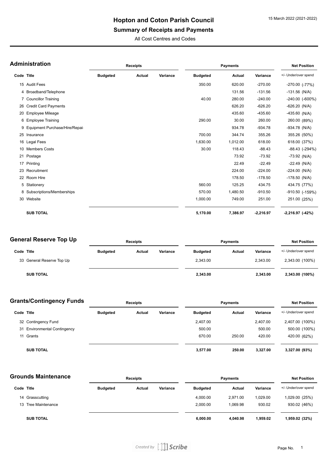## **Summary of Receipts and Payments**

All Cost Centres and Codes

|            | Administration                   | <b>Receipts</b> |               |          |                 |               | <b>Net Position</b> |                      |
|------------|----------------------------------|-----------------|---------------|----------|-----------------|---------------|---------------------|----------------------|
| Code Title |                                  | <b>Budgeted</b> | <b>Actual</b> | Variance | <b>Budgeted</b> | <b>Actual</b> | Variance            | +/- Under/over spend |
|            | 15 Audit Fees                    |                 |               |          | 350.00          | 620.00        | $-270.00$           | $-270.00$ $(-77%)$   |
|            | 4 Broadband/Telephone            |                 |               |          |                 | 131.56        | $-131.56$           | $-131.56$ (N/A)      |
|            | 7 Councillor Training            |                 |               |          | 40.00           | 280.00        | $-240.00$           | -240.00 (-600%)      |
|            | 26 Credit Card Payments          |                 |               |          |                 | 626.20        | $-626.20$           | $-626.20$ (N/A)      |
|            | 20 Employee Mileage              |                 |               |          |                 | 435.60        | $-435.60$           | $-435.60$ (N/A)      |
|            | 6 Employee Training              |                 |               |          | 290.00          | 30.00         | 260.00              | 260.00 (89%)         |
|            | 9 Equipment Purchase/Hire/Repair |                 |               |          |                 | 934.78        | $-934.78$           | $-934.78$ (N/A)      |
|            | 25 Insurance                     |                 |               |          | 700.00          | 344.74        | 355.26              | 355.26 (50%)         |
|            | 16 Legal Fees                    |                 |               |          | 1,630.00        | 1,012.00      | 618.00              | 618.00 (37%)         |
|            | 10 Members Costs                 |                 |               |          | 30.00           | 118.43        | $-88.43$            | -88.43 (-294%)       |
|            | 21 Postage                       |                 |               |          |                 | 73.92         | $-73.92$            | $-73.92$ (N/A)       |
|            | 17 Printing                      |                 |               |          |                 | 22.49         | $-22.49$            | $-22.49$ (N/A)       |
|            | 23 Recruitment                   |                 |               |          |                 | 224.00        | $-224.00$           | $-224.00$ (N/A)      |
|            | 22 Room Hire                     |                 |               |          |                 | 178.50        | $-178.50$           | $-178.50$ (N/A)      |
|            | 5 Stationery                     |                 |               |          | 560.00          | 125.25        | 434.75              | 434.75 (77%)         |
|            | 8 Subscriptions/Memberships      |                 |               |          | 570.00          | 1,480.50      | $-910.50$           | -910.50 (-159%)      |
|            | 30 Website                       |                 |               |          | 1,000.00        | 749.00        | 251.00              | 251.00 (25%)         |
|            | <b>SUB TOTAL</b>                 |                 |               |          | 5,170.00        | 7,386.97      | $-2,216.97$         | $-2,216.97$ $(-42%)$ |

#### **General Reserve Top Up**

| General Reserve Top Up    | <b>Receipts</b> |        |          | <b>Payments</b> | Net Position |          |                      |
|---------------------------|-----------------|--------|----------|-----------------|--------------|----------|----------------------|
| Code Title                | <b>Budgeted</b> | Actual | Variance | <b>Budgeted</b> | Actual       | Variance | +/- Under/over spend |
| 33 General Reserve Top Up |                 |        |          | 2.343.00        |              | 2.343.00 | 2,343.00 (100%)      |
| <b>SUB TOTAL</b>          |                 |        |          | 2,343.00        |              | 2,343.00 | 2,343.00 (100%)      |

| <b>Grants/Contingency Funds</b> |                              | <b>Receipts</b> |        |          | <b>Payments</b> |        | <b>Net Position</b> |                      |
|---------------------------------|------------------------------|-----------------|--------|----------|-----------------|--------|---------------------|----------------------|
| Code Title                      |                              | <b>Budgeted</b> | Actual | Variance | <b>Budgeted</b> | Actual | Variance            | +/- Under/over spend |
|                                 | 32 Contingency Fund          |                 |        |          | 2.407.00        |        | 2.407.00            | 2,407.00 (100%)      |
|                                 | 31 Environmental Contingency |                 |        |          | 500.00          |        | 500.00              | 500.00 (100%)        |
|                                 | 11 Grants                    |                 |        |          | 670.00          | 250.00 | 420.00              | 420.00 (62%)         |
|                                 | <b>SUB TOTAL</b>             |                 |        |          | 3,577.00        | 250.00 | 3,327.00            | 3,327.00 (93%)       |

| <b>Grounds Maintenance</b> |                     | <b>Receipts</b> |        |          | <b>Payments</b> |          | <b>Net Position</b> |                      |
|----------------------------|---------------------|-----------------|--------|----------|-----------------|----------|---------------------|----------------------|
| Code Title                 |                     | <b>Budgeted</b> | Actual | Variance | <b>Budgeted</b> | Actual   | Variance            | +/- Under/over spend |
|                            | 14 Grasscutting     |                 |        |          | 4,000.00        | 2.971.00 | 1.029.00            | 1,029.00 (25%)       |
|                            | 13 Tree Maintenance |                 |        |          | 2.000.00        | 1.069.98 | 930.02              | 930.02 (46%)         |
|                            | <b>SUB TOTAL</b>    |                 |        |          | 6,000.00        | 4,040.98 | 1,959.02            | 1,959.02 (32%)       |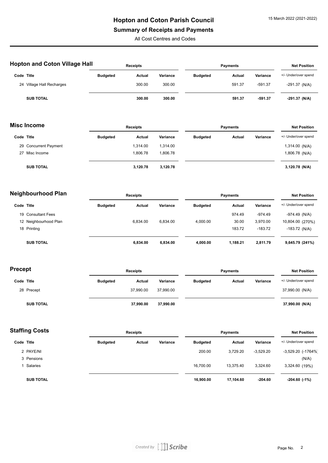## **Summary of Receipts and Payments**

All Cost Centres and Codes

| <b>Hopton and Coton Village Hall</b> | <b>Receipts</b> |        |          | <b>Payments</b> |               |           | <b>Net Position</b>  |
|--------------------------------------|-----------------|--------|----------|-----------------|---------------|-----------|----------------------|
| Code Title                           | <b>Budgeted</b> | Actual | Variance | <b>Budgeted</b> | <b>Actual</b> | Variance  | +/- Under/over spend |
| Village Hall Recharges<br>24         |                 | 300.00 | 300.00   |                 | 591.37        | $-591.37$ | $-291.37$ (N/A)      |
| <b>SUB TOTAL</b>                     |                 | 300.00 | 300.00   |                 | 591.37        | $-591.37$ | $-291.37$ (N/A)      |

| <b>Misc Income</b> |                       | <b>Receipts</b> |          |          | <b>Payments</b> |               |          | <b>Net Position</b>  |  |
|--------------------|-----------------------|-----------------|----------|----------|-----------------|---------------|----------|----------------------|--|
| Code Title         |                       | <b>Budgeted</b> | Actual   | Variance | <b>Budgeted</b> | <b>Actual</b> | Variance | +/- Under/over spend |  |
|                    | 29 Concurrent Payment |                 | 1.314.00 | 1.314.00 |                 |               |          | 1,314.00 (N/A)       |  |
|                    | 27 Misc Income        |                 | 1.806.78 | 1.806.78 |                 |               |          | 1,806.78 (N/A)       |  |
|                    | <b>SUB TOTAL</b>      |                 | 3,120.78 | 3,120.78 |                 |               |          | 3,120.78 (N/A)       |  |

| <b>Neighbourhood Plan</b> |                       | <b>Receipts</b> |          |          | <b>Payments</b> |          |           | <b>Net Position</b>  |  |
|---------------------------|-----------------------|-----------------|----------|----------|-----------------|----------|-----------|----------------------|--|
| Code Title                |                       | <b>Budgeted</b> | Actual   | Variance | <b>Budgeted</b> | Actual   | Variance  | +/- Under/over spend |  |
|                           | 19 Consultant Fees    |                 |          |          |                 | 974.49   | $-974.49$ | $-974.49$ (N/A)      |  |
|                           | 12 Neighbourhood Plan |                 | 6.834.00 | 6.834.00 | 4.000.00        | 30.00    | 3,970.00  | 10,804.00 (270%)     |  |
|                           | 18 Printing           |                 |          |          |                 | 183.72   | $-183.72$ | $-183.72$ (N/A)      |  |
|                           | <b>SUB TOTAL</b>      |                 | 6.834.00 | 6.834.00 | 4.000.00        | 1.188.21 | 2.811.79  | 9,645.79 (241%)      |  |

| <b>Precept</b> |                  | <b>Receipts</b> |           |           | <b>Payments</b> |        |          | <b>Net Position</b>  |  |
|----------------|------------------|-----------------|-----------|-----------|-----------------|--------|----------|----------------------|--|
| Code Title     |                  | <b>Budgeted</b> | Actual    | Variance  | <b>Budgeted</b> | Actual | Variance | +/- Under/over spend |  |
|                | 28 Precept       |                 | 37.990.00 | 37.990.00 |                 |        |          | 37,990.00 (N/A)      |  |
|                | <b>SUB TOTAL</b> |                 | 37,990.00 | 37,990.00 |                 |        |          | 37,990.00 (N/A)      |  |

| Staffing Costs |                  | <b>Receipts</b> |        |          | <b>Payments</b> |           |             | <b>Net Position</b>  |  |
|----------------|------------------|-----------------|--------|----------|-----------------|-----------|-------------|----------------------|--|
| Code Title     |                  | <b>Budgeted</b> | Actual | Variance | <b>Budgeted</b> | Actual    | Variance    | +/- Under/over spend |  |
|                | 2 PAYE/NI        |                 |        |          | 200.00          | 3.729.20  | $-3,529.20$ | -3,529.20 (-1764%)   |  |
|                | 3 Pensions       |                 |        |          |                 |           |             | (N/A)                |  |
|                | Salaries         |                 |        |          | 16,700.00       | 13.375.40 | 3.324.60    | 3,324.60 (19%)       |  |
|                | <b>SUB TOTAL</b> |                 |        |          | 16,900.00       | 17,104.60 | $-204.60$   | $-204.60$ $(-1%)$    |  |